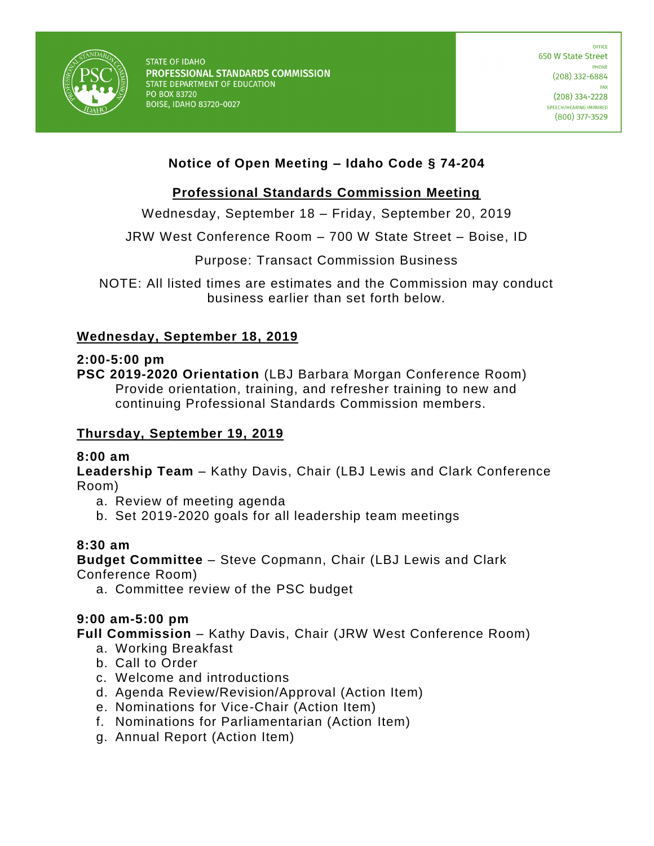

# **Notice of Open Meeting – Idaho Code § 74-204**

## **Professional Standards Commission Meeting**

Wednesday, September 18 – Friday, September 20, 2019

JRW West Conference Room – 700 W State Street – Boise, ID

Purpose: Transact Commission Business

NOTE: All listed times are estimates and the Commission may conduct business earlier than set forth below.

### **Wednesday, September 18, 2019**

#### **2:00-5:00 pm**

**PSC 2019-2020 Orientation** (LBJ Barbara Morgan Conference Room) Provide orientation, training, and refresher training to new and continuing Professional Standards Commission members.

### **Thursday, September 19, 2019**

### **8:00 am**

**Leadership Team** – Kathy Davis, Chair (LBJ Lewis and Clark Conference Room)

- a. Review of meeting agenda
- b. Set 2019-2020 goals for all leadership team meetings

### **8:30 am**

**Budget Committee** – Steve Copmann, Chair (LBJ Lewis and Clark Conference Room)

a. Committee review of the PSC budget

### **9:00 am-5:00 pm**

**Full Commission** – Kathy Davis, Chair (JRW West Conference Room)

- a. Working Breakfast
- b. Call to Order
- c. Welcome and introductions
- d. Agenda Review/Revision/Approval (Action Item)
- e. Nominations for Vice-Chair (Action Item)
- f. Nominations for Parliamentarian (Action Item)
- g. Annual Report (Action Item)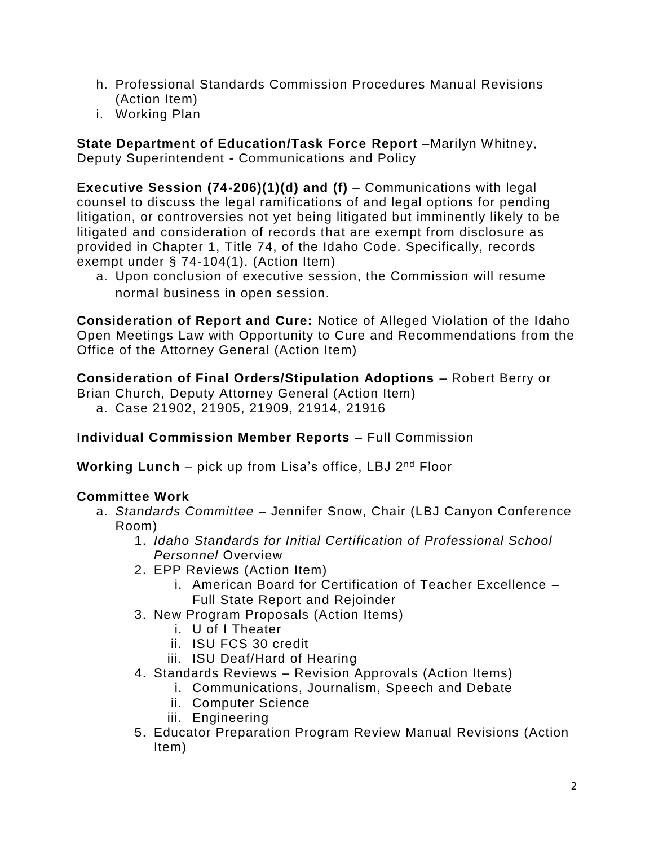- h. Professional Standards Commission Procedures Manual Revisions (Action Item)
- i. Working Plan

**State Department of Education/Task Force Report** –Marilyn Whitney, Deputy Superintendent - Communications and Policy

**Executive Session (74-206)(1)(d) and (f)** – Communications with legal counsel to discuss the legal ramifications of and legal options for pending litigation, or controversies not yet being litigated but imminently likely to be litigated and consideration of records that are exempt from disclosure as provided in Chapter 1, Title 74, of the Idaho Code. Specifically, records exempt under § 74-104(1). (Action Item)

a. Upon conclusion of executive session, the Commission will resume normal business in open session.

**Consideration of Report and Cure:** Notice of Alleged Violation of the Idaho Open Meetings Law with Opportunity to Cure and Recommendations from the Office of the Attorney General (Action Item)

**Consideration of Final Orders/Stipulation Adoptions** – Robert Berry or Brian Church, Deputy Attorney General (Action Item) a. Case 21902, 21905, 21909, 21914, 21916

**Individual Commission Member Reports** – Full Commission

**Working Lunch** – pick up from Lisa's office, LBJ 2<sup>nd</sup> Floor

## **Committee Work**

- a. *Standards Committee* Jennifer Snow, Chair (LBJ Canyon Conference Room)
	- 1. *Idaho Standards for Initial Certification of Professional School Personnel* Overview
	- 2. EPP Reviews (Action Item)
		- i. American Board for Certification of Teacher Excellence Full State Report and Rejoinder
	- 3. New Program Proposals (Action Items)
		- i. U of I Theater
		- ii. ISU FCS 30 credit
		- iii. ISU Deaf/Hard of Hearing
	- 4. Standards Reviews Revision Approvals (Action Items)
		- i. Communications, Journalism, Speech and Debate
		- ii. Computer Science
		- iii. Engineering
	- 5. Educator Preparation Program Review Manual Revisions (Action Item)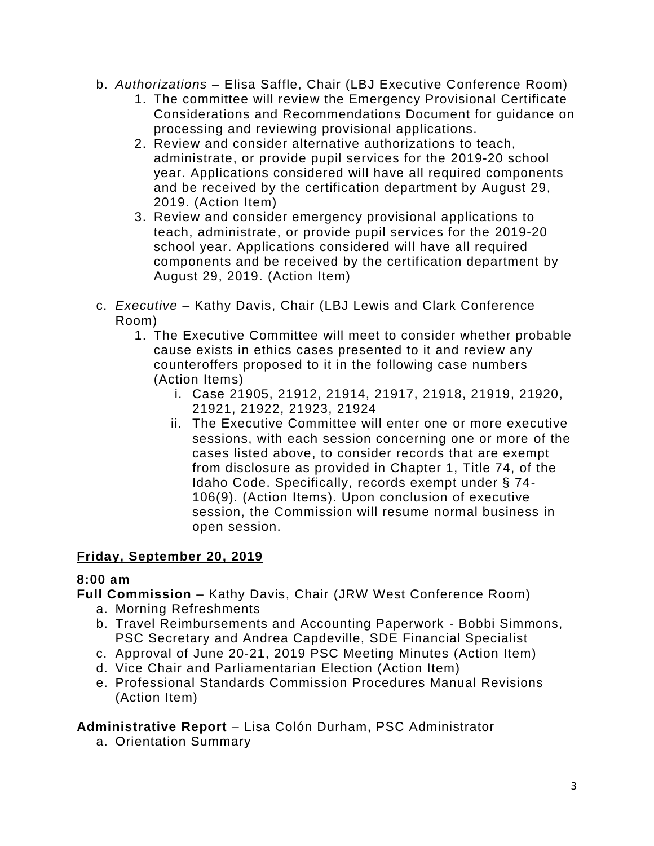- b. *Authorizations*  Elisa Saffle, Chair (LBJ Executive Conference Room)
	- 1. The committee will review the Emergency Provisional Certificate Considerations and Recommendations Document for guidance on processing and reviewing provisional applications.
	- 2. Review and consider alternative authorizations to teach, administrate, or provide pupil services for the 2019-20 school year. Applications considered will have all required components and be received by the certification department by August 29, 2019. (Action Item)
	- 3. Review and consider emergency provisional applications to teach, administrate, or provide pupil services for the 2019-20 school year. Applications considered will have all required components and be received by the certification department by August 29, 2019. (Action Item)
- c. *Executive* Kathy Davis, Chair (LBJ Lewis and Clark Conference Room)
	- 1. The Executive Committee will meet to consider whether probable cause exists in ethics cases presented to it and review any counteroffers proposed to it in the following case numbers (Action Items)
		- i. Case 21905, 21912, 21914, 21917, 21918, 21919, 21920, 21921, 21922, 21923, 21924
		- ii. The Executive Committee will enter one or more executive sessions, with each session concerning one or more of the cases listed above, to consider records that are exempt from disclosure as provided in Chapter 1, Title 74, of the Idaho Code. Specifically, records exempt under § 74- 106(9). (Action Items). Upon conclusion of executive session, the Commission will resume normal business in open session.

## **Friday, September 20, 2019**

## **8:00 am**

**Full Commission** – Kathy Davis, Chair (JRW West Conference Room)

- a. Morning Refreshments
- b. Travel Reimbursements and Accounting Paperwork Bobbi Simmons, PSC Secretary and Andrea Capdeville, SDE Financial Specialist
- c. Approval of June 20-21, 2019 PSC Meeting Minutes (Action Item)
- d. Vice Chair and Parliamentarian Election (Action Item)
- e. Professional Standards Commission Procedures Manual Revisions (Action Item)

## **Administrative Report** – Lisa Colón Durham, PSC Administrator

a. Orientation Summary